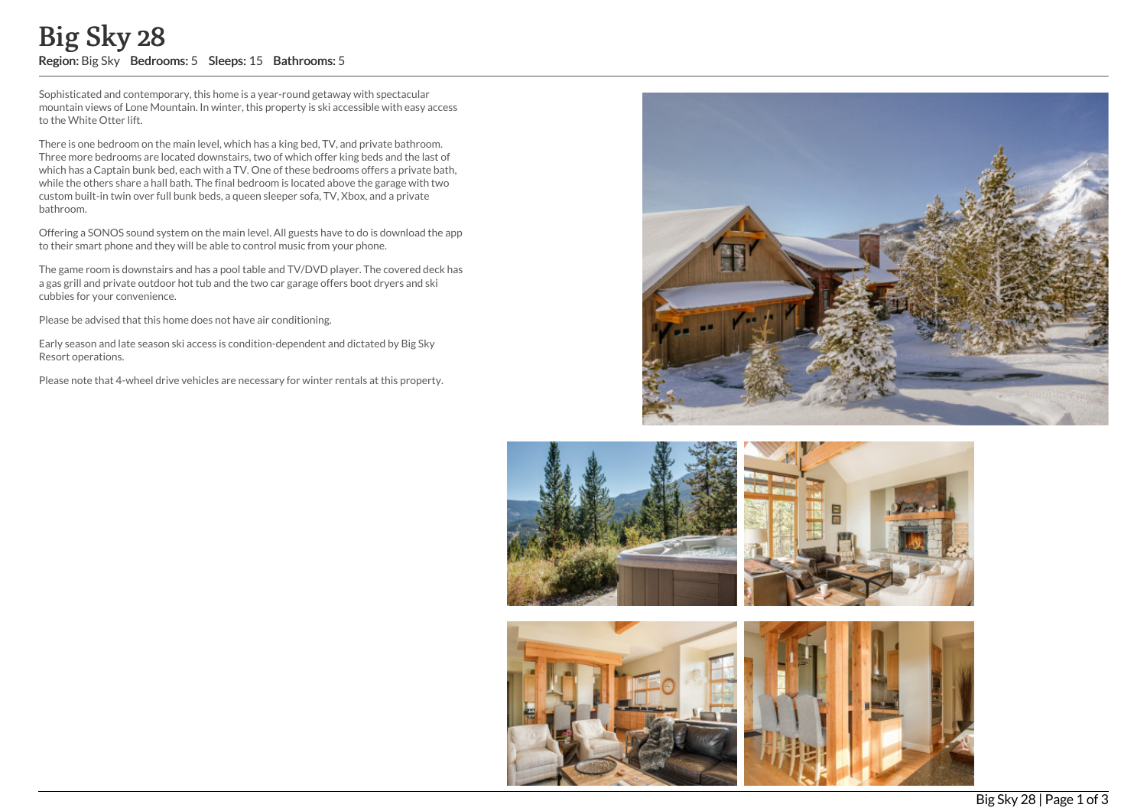Sophisticated and contemporary, this home is a year-round getaway with spectacular mountain views of Lone Mountain. In winter, this property is ski accessible with easy access to the White Otter lift.

There is one bedroom on the main level, which has a king bed, TV, and private bathroom. Three more bedrooms are located downstairs, two of which offer king beds and the last of which has a Captain bunk bed, each with a TV. One of these bedrooms offers a private bath, while the others share a hall bath. The final bedroom is located above the garage with two custom built-in twin over full bunk beds, a queen sleeper sofa, TV, Xbox, and a private bathroom.

Offering a SONOS sound system on the main level. All guests have to do is download the app to their smart phone and they will be able to control music from your phone.

The game room is downstairs and has a pool table and TV/DVD player. The covered deck has a gas grill and private outdoor hot tub and the two car garage offers boot dryers and ski cubbies for your convenience.

Please be advised that this home does not have air conditioning.

Early season and late season ski access is condition-dependent and dictated by Big Sky Resort operations.

Please note that 4-wheel drive vehicles are necessary for winter rentals at this property.



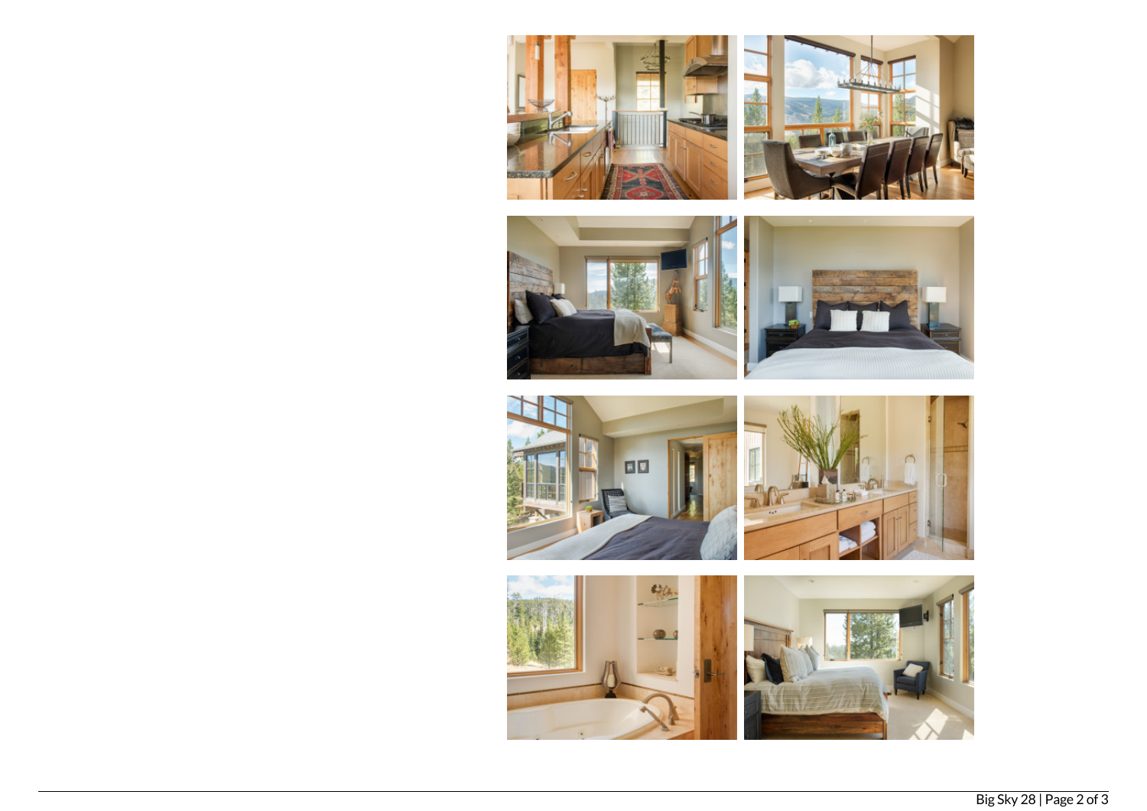